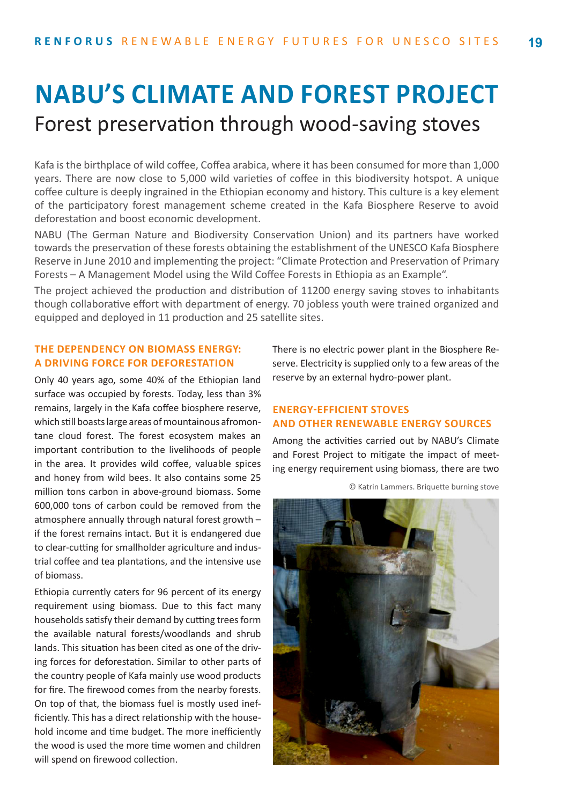## **NABU'S CLIMATE AND FOREST PROJECT** Forest preservation through wood-saving stoves

Kafa is the birthplace of wild coffee, Coffea arabica, where it has been consumed for more than 1,000 years. There are now close to 5,000 wild varieties of coffee in this biodiversity hotspot. A unique coffee culture is deeply ingrained in the Ethiopian economy and history. This culture is a key element of the participatory forest management scheme created in the Kafa Biosphere Reserve to avoid deforestation and boost economic development.

NABU (The German Nature and Biodiversity Conservation Union) and its partners have worked towards the preservation of these forests obtaining the establishment of the UNESCO Kafa Biosphere Reserve in June 2010 and implementing the project: "Climate Protection and Preservation of Primary Forests – A Management Model using the Wild Coffee Forests in Ethiopia as an Example".

The project achieved the production and distribution of 11200 energy saving stoves to inhabitants though collaborative effort with department of energy. 70 jobless youth were trained organized and equipped and deployed in 11 production and 25 satellite sites.

## **THE DEPENDENCY ON BIOMASS ENERGY: A DRIVING FORCE FOR DEFORESTATION**

Only 40 years ago, some 40% of the Ethiopian land surface was occupied by forests. Today, less than 3% remains, largely in the Kafa coffee biosphere reserve, which still boasts large areas of mountainous afromontane cloud forest. The forest ecosystem makes an important contribution to the livelihoods of people in the area. It provides wild coffee, valuable spices and honey from wild bees. It also contains some 25 million tons carbon in above-ground biomass. Some 600,000 tons of carbon could be removed from the atmosphere annually through natural forest growth – if the forest remains intact. But it is endangered due to clear-cutting for smallholder agriculture and industrial coffee and tea plantations, and the intensive use of biomass.

Ethiopia currently caters for 96 percent of its energy requirement using biomass. Due to this fact many households satisfy their demand by cutting trees form the available natural forests/woodlands and shrub lands. This situation has been cited as one of the driving forces for deforestation. Similar to other parts of the country people of Kafa mainly use wood products for fire. The firewood comes from the nearby forests. On top of that, the biomass fuel is mostly used inefficiently. This has a direct relationship with the household income and time budget. The more inefficiently the wood is used the more time women and children will spend on firewood collection.

There is no electric power plant in the Biosphere Reserve. Electricity is supplied only to a few areas of the reserve by an external hydro-power plant.

## **ENERGY-EFFICIENT STOVES AND OTHER RENEWABLE ENERGY SOURCES**

Among the activities carried out by NABU's Climate and Forest Project to mitigate the impact of meeting energy requirement using biomass, there are two



© Katrin Lammers. Briquette burning stove